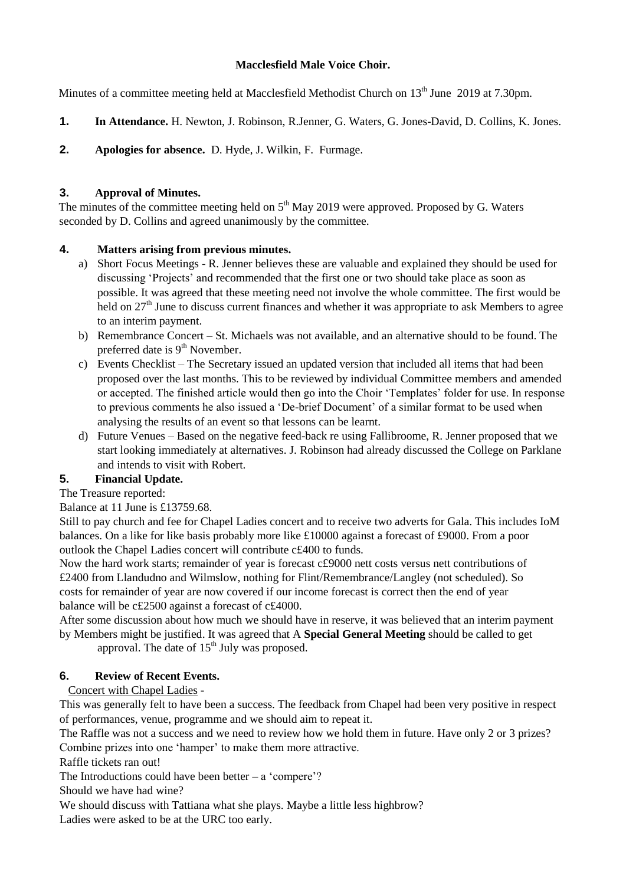## **Macclesfield Male Voice Choir.**

Minutes of a committee meeting held at Macclesfield Methodist Church on 13<sup>th</sup> June 2019 at 7.30pm.

- **1. In Attendance.** H. Newton, J. Robinson, R.Jenner, G. Waters, G. Jones-David, D. Collins, K. Jones.
- **2. Apologies for absence.** D. Hyde, J. Wilkin, F. Furmage.

## **3. Approval of Minutes.**

The minutes of the committee meeting held on  $5<sup>th</sup>$  May 2019 were approved. Proposed by G. Waters seconded by D. Collins and agreed unanimously by the committee.

## **4. Matters arising from previous minutes.**

- a) Short Focus Meetings R. Jenner believes these are valuable and explained they should be used for discussing 'Projects' and recommended that the first one or two should take place as soon as possible. It was agreed that these meeting need not involve the whole committee. The first would be held on  $27<sup>th</sup>$  June to discuss current finances and whether it was appropriate to ask Members to agree to an interim payment.
- b) Remembrance Concert St. Michaels was not available, and an alternative should to be found. The preferred date is  $9<sup>th</sup>$  November.
- c) Events Checklist The Secretary issued an updated version that included all items that had been proposed over the last months. This to be reviewed by individual Committee members and amended or accepted. The finished article would then go into the Choir 'Templates' folder for use. In response to previous comments he also issued a 'De-brief Document' of a similar format to be used when analysing the results of an event so that lessons can be learnt.
- d) Future Venues Based on the negative feed-back re using Fallibroome, R. Jenner proposed that we start looking immediately at alternatives. J. Robinson had already discussed the College on Parklane and intends to visit with Robert.

# **5. Financial Update.**

The Treasure reported:

Balance at 11 June is £13759.68.

Still to pay church and fee for Chapel Ladies concert and to receive two adverts for Gala. This includes IoM balances. On a like for like basis probably more like £10000 against a forecast of £9000. From a poor outlook the Chapel Ladies concert will contribute c£400 to funds.

Now the hard work starts; remainder of year is forecast c£9000 nett costs versus nett contributions of £2400 from Llandudno and Wilmslow, nothing for Flint/Remembrance/Langley (not scheduled). So costs for remainder of year are now covered if our income forecast is correct then the end of year balance will be c£2500 against a forecast of c£4000.

After some discussion about how much we should have in reserve, it was believed that an interim payment by Members might be justified. It was agreed that A **Special General Meeting** should be called to get approval. The date of  $15<sup>th</sup>$  July was proposed.

# **6. Review of Recent Events.**

#### Concert with Chapel Ladies -

This was generally felt to have been a success. The feedback from Chapel had been very positive in respect of performances, venue, programme and we should aim to repeat it.

The Raffle was not a success and we need to review how we hold them in future. Have only 2 or 3 prizes? Combine prizes into one 'hamper' to make them more attractive.

Raffle tickets ran out!

The Introductions could have been better  $-$  a 'compere'?

Should we have had wine?

We should discuss with Tattiana what she plays. Maybe a little less highbrow?

Ladies were asked to be at the URC too early.